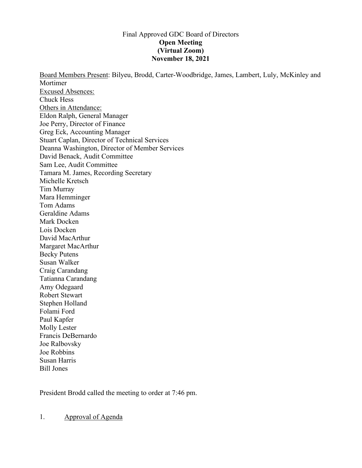### Final Approved GDC Board of Directors **Open Meeting (Virtual Zoom) November 18, 2021**

Board Members Present: Bilyeu, Brodd, Carter-Woodbridge, James, Lambert, Luly, McKinley and Mortimer Excused Absences: Chuck Hess Others in Attendance: Eldon Ralph, General Manager Joe Perry, Director of Finance Greg Eck, Accounting Manager Stuart Caplan, Director of Technical Services Deanna Washington, Director of Member Services David Benack, Audit Committee Sam Lee, Audit Committee Tamara M. James, Recording Secretary Michelle Kretsch Tim Murray Mara Hemminger Tom Adams Geraldine Adams Mark Docken Lois Docken David MacArthur Margaret MacArthur Becky Putens Susan Walker Craig Carandang Tatianna Carandang Amy Odegaard Robert Stewart Stephen Holland Folami Ford Paul Kapfer Molly Lester Francis DeBernardo Joe Ralbovsky Joe Robbins Susan Harris Bill Jones

President Brodd called the meeting to order at 7:46 pm.

1. Approval of Agenda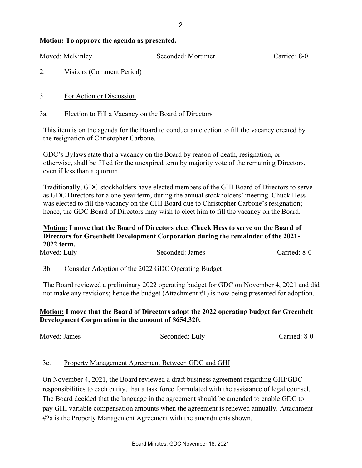#### **Motion: To approve the agenda as presented.**

Moved: McKinley Seconded: Mortimer Carried: 8-0

# 2. Visitors (Comment Period)

3. For Action or Discussion

### 3a. Election to Fill a Vacancy on the Board of Directors

This item is on the agenda for the Board to conduct an election to fill the vacancy created by the resignation of Christopher Carbone.

GDC's Bylaws state that a vacancy on the Board by reason of death, resignation, or otherwise, shall be filled for the unexpired term by majority vote of the remaining Directors, even if less than a quorum.

Traditionally, GDC stockholders have elected members of the GHI Board of Directors to serve as GDC Directors for a one-year term, during the annual stockholders' meeting. Chuck Hess was elected to fill the vacancy on the GHI Board due to Christopher Carbone's resignation; hence, the GDC Board of Directors may wish to elect him to fill the vacancy on the Board.

### **Motion: I move that the Board of Directors elect Chuck Hess to serve on the Board of Directors for Greenbelt Development Corporation during the remainder of the 2021- 2022 term.**

| Moved: Luly |                                                    | Seconded: James | Carried: 8-0 |
|-------------|----------------------------------------------------|-----------------|--------------|
| $3b$ .      | Consider Adoption of the 2022 GDC Operating Budget |                 |              |

The Board reviewed a preliminary 2022 operating budget for GDC on November 4, 2021 and did not make any revisions; hence the budget (Attachment #1) is now being presented for adoption.

## **Motion: I move that the Board of Directors adopt the 2022 operating budget for Greenbelt Development Corporation in the amount of \$654,320.**

Moved: James Seconded: Luly Carried: 8-0

## 3c. Property Management Agreement Between GDC and GHI

On November 4, 2021, the Board reviewed a draft business agreement regarding GHI/GDC responsibilities to each entity, that a task force formulated with the assistance of legal counsel. The Board decided that the language in the agreement should be amended to enable GDC to pay GHI variable compensation amounts when the agreement is renewed annually. Attachment #2a is the Property Management Agreement with the amendments shown.